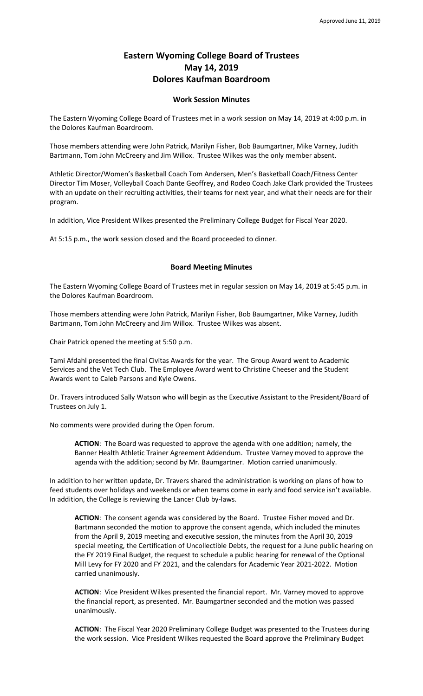## **Eastern Wyoming College Board of Trustees May 14, 2019 Dolores Kaufman Boardroom**

## **Work Session Minutes**

The Eastern Wyoming College Board of Trustees met in a work session on May 14, 2019 at 4:00 p.m. in the Dolores Kaufman Boardroom.

Those members attending were John Patrick, Marilyn Fisher, Bob Baumgartner, Mike Varney, Judith Bartmann, Tom John McCreery and Jim Willox. Trustee Wilkes was the only member absent.

Athletic Director/Women's Basketball Coach Tom Andersen, Men's Basketball Coach/Fitness Center Director Tim Moser, Volleyball Coach Dante Geoffrey, and Rodeo Coach Jake Clark provided the Trustees with an update on their recruiting activities, their teams for next year, and what their needs are for their program.

In addition, Vice President Wilkes presented the Preliminary College Budget for Fiscal Year 2020.

At 5:15 p.m., the work session closed and the Board proceeded to dinner.

## **Board Meeting Minutes**

The Eastern Wyoming College Board of Trustees met in regular session on May 14, 2019 at 5:45 p.m. in the Dolores Kaufman Boardroom.

Those members attending were John Patrick, Marilyn Fisher, Bob Baumgartner, Mike Varney, Judith Bartmann, Tom John McCreery and Jim Willox. Trustee Wilkes was absent.

Chair Patrick opened the meeting at 5:50 p.m.

Tami Afdahl presented the final Civitas Awards for the year. The Group Award went to Academic Services and the Vet Tech Club. The Employee Award went to Christine Cheeser and the Student Awards went to Caleb Parsons and Kyle Owens.

Dr. Travers introduced Sally Watson who will begin as the Executive Assistant to the President/Board of Trustees on July 1.

No comments were provided during the Open forum.

**ACTION**: The Board was requested to approve the agenda with one addition; namely, the Banner Health Athletic Trainer Agreement Addendum. Trustee Varney moved to approve the agenda with the addition; second by Mr. Baumgartner. Motion carried unanimously.

In addition to her written update, Dr. Travers shared the administration is working on plans of how to feed students over holidays and weekends or when teams come in early and food service isn't available. In addition, the College is reviewing the Lancer Club by-laws.

**ACTION**: The consent agenda was considered by the Board. Trustee Fisher moved and Dr. Bartmann seconded the motion to approve the consent agenda, which included the minutes from the April 9, 2019 meeting and executive session, the minutes from the April 30, 2019 special meeting, the Certification of Uncollectible Debts, the request for a June public hearing on the FY 2019 Final Budget, the request to schedule a public hearing for renewal of the Optional Mill Levy for FY 2020 and FY 2021, and the calendars for Academic Year 2021-2022. Motion carried unanimously.

**ACTION**: Vice President Wilkes presented the financial report. Mr. Varney moved to approve the financial report, as presented. Mr. Baumgartner seconded and the motion was passed unanimously.

**ACTION**: The Fiscal Year 2020 Preliminary College Budget was presented to the Trustees during the work session. Vice President Wilkes requested the Board approve the Preliminary Budget